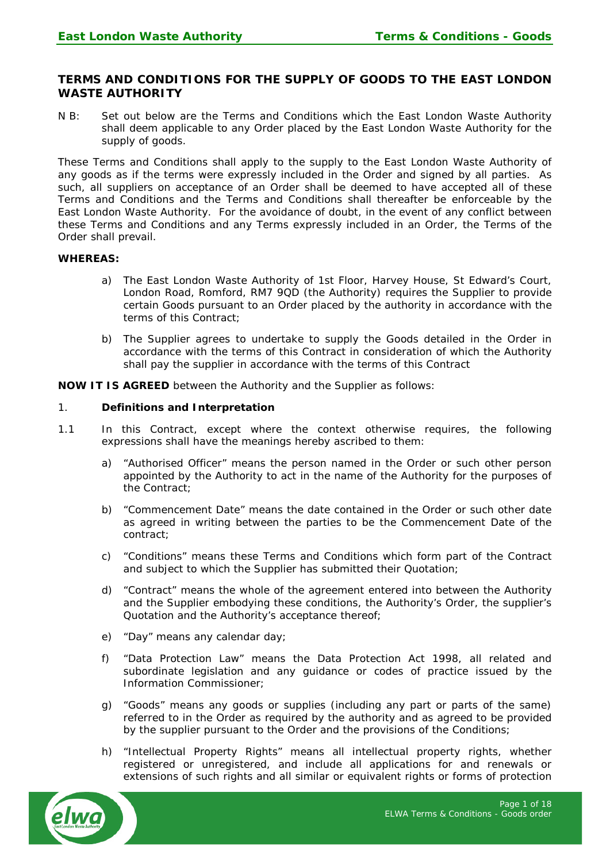# **TERMS AND CONDITIONS FOR THE SUPPLY OF GOODS TO THE EAST LONDON WASTE AUTHORITY**

N B: Set out below are the Terms and Conditions which the East London Waste Authority shall deem applicable to any Order placed by the East London Waste Authority for the supply of goods.

These Terms and Conditions shall apply to the supply to the East London Waste Authority of any goods as if the terms were expressly included in the Order and signed by all parties. As such, all suppliers on acceptance of an Order shall be deemed to have accepted all of these Terms and Conditions and the Terms and Conditions shall thereafter be enforceable by the East London Waste Authority. For the avoidance of doubt, in the event of any conflict between these Terms and Conditions and any Terms expressly included in an Order, the Terms of the Order shall prevail.

#### **WHEREAS:**

- a) The East London Waste Authority of 1st Floor, Harvey House, St Edward's Court, London Road, Romford, RM7 9QD (the Authority) requires the Supplier to provide certain Goods pursuant to an Order placed by the authority in accordance with the terms of this Contract;
- b) The Supplier agrees to undertake to supply the Goods detailed in the Order in accordance with the terms of this Contract in consideration of which the Authority shall pay the supplier in accordance with the terms of this Contract

**NOW IT IS AGREED** between the Authority and the Supplier as follows:

#### 1. **Definitions and Interpretation**

- 1.1 In this Contract, except where the context otherwise requires, the following expressions shall have the meanings hereby ascribed to them:
	- a) "Authorised Officer" means the person named in the Order or such other person appointed by the Authority to act in the name of the Authority for the purposes of the Contract;
	- b) "Commencement Date" means the date contained in the Order or such other date as agreed in writing between the parties to be the Commencement Date of the contract;
	- c) "Conditions" means these Terms and Conditions which form part of the Contract and subject to which the Supplier has submitted their Quotation;
	- d) "Contract" means the whole of the agreement entered into between the Authority and the Supplier embodying these conditions, the Authority's Order, the supplier's Quotation and the Authority's acceptance thereof;
	- e) "Day" means any calendar day;
	- f) "Data Protection Law" means the Data Protection Act 1998, all related and subordinate legislation and any guidance or codes of practice issued by the Information Commissioner;
	- g) "Goods" means any goods or supplies (including any part or parts of the same) referred to in the Order as required by the authority and as agreed to be provided by the supplier pursuant to the Order and the provisions of the Conditions;
	- h) "Intellectual Property Rights" means all intellectual property rights, whether registered or unregistered, and include all applications for and renewals or extensions of such rights and all similar or equivalent rights or forms of protection

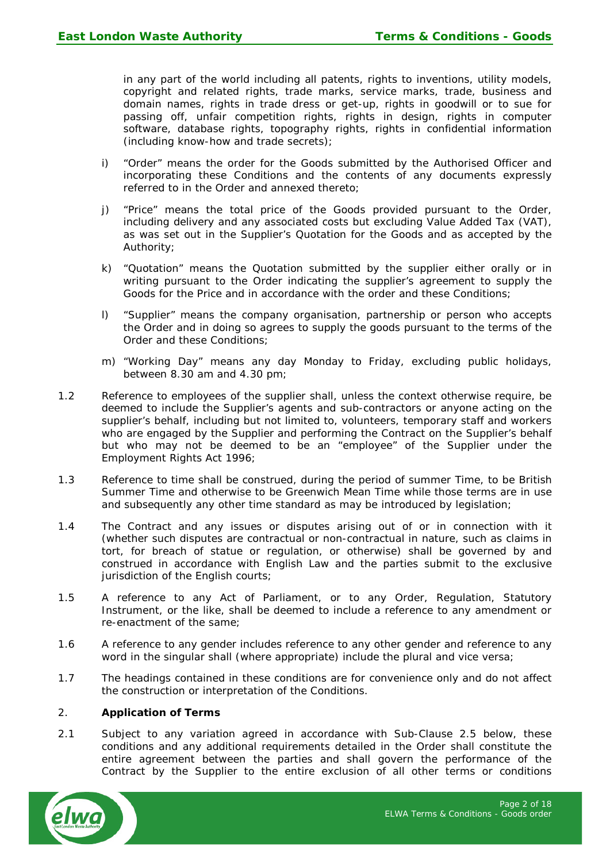in any part of the world including all patents, rights to inventions, utility models, copyright and related rights, trade marks, service marks, trade, business and domain names, rights in trade dress or get-up, rights in goodwill or to sue for passing off, unfair competition rights, rights in design, rights in computer software, database rights, topography rights, rights in confidential information (including know-how and trade secrets);

- i) "Order" means the order for the Goods submitted by the Authorised Officer and incorporating these Conditions and the contents of any documents expressly referred to in the Order and annexed thereto;
- j) "Price" means the total price of the Goods provided pursuant to the Order, including delivery and any associated costs but excluding Value Added Tax (VAT), as was set out in the Supplier's Quotation for the Goods and as accepted by the Authority;
- k) "Quotation" means the Quotation submitted by the supplier either orally or in writing pursuant to the Order indicating the supplier's agreement to supply the Goods for the Price and in accordance with the order and these Conditions;
- l) "Supplier" means the company organisation, partnership or person who accepts the Order and in doing so agrees to supply the goods pursuant to the terms of the Order and these Conditions;
- m) "Working Day" means any day Monday to Friday, excluding public holidays, between 8.30 am and 4.30 pm;
- 1.2 Reference to employees of the supplier shall, unless the context otherwise require, be deemed to include the Supplier's agents and sub-contractors or anyone acting on the supplier's behalf, including but not limited to, volunteers, temporary staff and workers who are engaged by the Supplier and performing the Contract on the Supplier's behalf but who may not be deemed to be an "employee" of the Supplier under the Employment Rights Act 1996;
- 1.3 Reference to time shall be construed, during the period of summer Time, to be British Summer Time and otherwise to be Greenwich Mean Time while those terms are in use and subsequently any other time standard as may be introduced by legislation;
- 1.4 The Contract and any issues or disputes arising out of or in connection with it (whether such disputes are contractual or non-contractual in nature, such as claims in tort, for breach of statue or regulation, or otherwise) shall be governed by and construed in accordance with English Law and the parties submit to the exclusive jurisdiction of the English courts;
- 1.5 A reference to any Act of Parliament, or to any Order, Regulation, Statutory Instrument, or the like, shall be deemed to include a reference to any amendment or re-enactment of the same;
- 1.6 A reference to any gender includes reference to any other gender and reference to any word in the singular shall (where appropriate) include the plural and vice versa;
- 1.7 The headings contained in these conditions are for convenience only and do not affect the construction or interpretation of the Conditions.

# 2. **Application of Terms**

2.1 Subject to any variation agreed in accordance with Sub-Clause 2.5 below, these conditions and any additional requirements detailed in the Order shall constitute the entire agreement between the parties and shall govern the performance of the Contract by the Supplier to the entire exclusion of all other terms or conditions

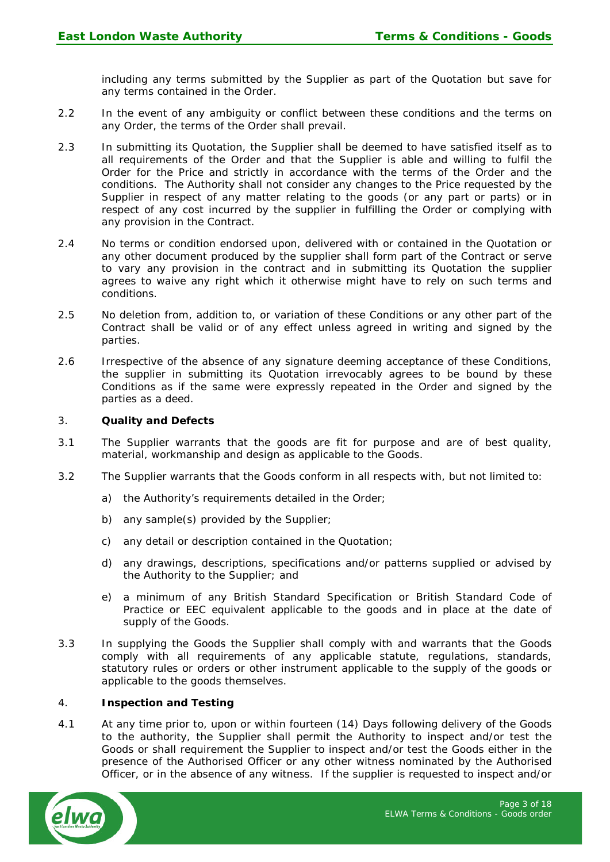including any terms submitted by the Supplier as part of the Quotation but save for any terms contained in the Order.

- 2.2 In the event of any ambiguity or conflict between these conditions and the terms on any Order, the terms of the Order shall prevail.
- 2.3 In submitting its Quotation, the Supplier shall be deemed to have satisfied itself as to all requirements of the Order and that the Supplier is able and willing to fulfil the Order for the Price and strictly in accordance with the terms of the Order and the conditions. The Authority shall not consider any changes to the Price requested by the Supplier in respect of any matter relating to the goods (or any part or parts) or in respect of any cost incurred by the supplier in fulfilling the Order or complying with any provision in the Contract.
- 2.4 No terms or condition endorsed upon, delivered with or contained in the Quotation or any other document produced by the supplier shall form part of the Contract or serve to vary any provision in the contract and in submitting its Quotation the supplier agrees to waive any right which it otherwise might have to rely on such terms and conditions.
- 2.5 No deletion from, addition to, or variation of these Conditions or any other part of the Contract shall be valid or of any effect unless agreed in writing and signed by the parties.
- 2.6 Irrespective of the absence of any signature deeming acceptance of these Conditions, the supplier in submitting its Quotation irrevocably agrees to be bound by these Conditions as if the same were expressly repeated in the Order and signed by the parties as a deed.

### 3. **Quality and Defects**

- 3.1 The Supplier warrants that the goods are fit for purpose and are of best quality, material, workmanship and design as applicable to the Goods.
- 3.2 The Supplier warrants that the Goods conform in all respects with, but not limited to:
	- a) the Authority's requirements detailed in the Order;
	- b) any sample(s) provided by the Supplier;
	- c) any detail or description contained in the Quotation;
	- d) any drawings, descriptions, specifications and/or patterns supplied or advised by the Authority to the Supplier; and
	- e) a minimum of any British Standard Specification or British Standard Code of Practice or EEC equivalent applicable to the goods and in place at the date of supply of the Goods.
- 3.3 In supplying the Goods the Supplier shall comply with and warrants that the Goods comply with all requirements of any applicable statute, regulations, standards, statutory rules or orders or other instrument applicable to the supply of the goods or applicable to the goods themselves.

#### 4. **Inspection and Testing**

4.1 At any time prior to, upon or within fourteen (14) Days following delivery of the Goods to the authority, the Supplier shall permit the Authority to inspect and/or test the Goods or shall requirement the Supplier to inspect and/or test the Goods either in the presence of the Authorised Officer or any other witness nominated by the Authorised Officer, or in the absence of any witness. If the supplier is requested to inspect and/or

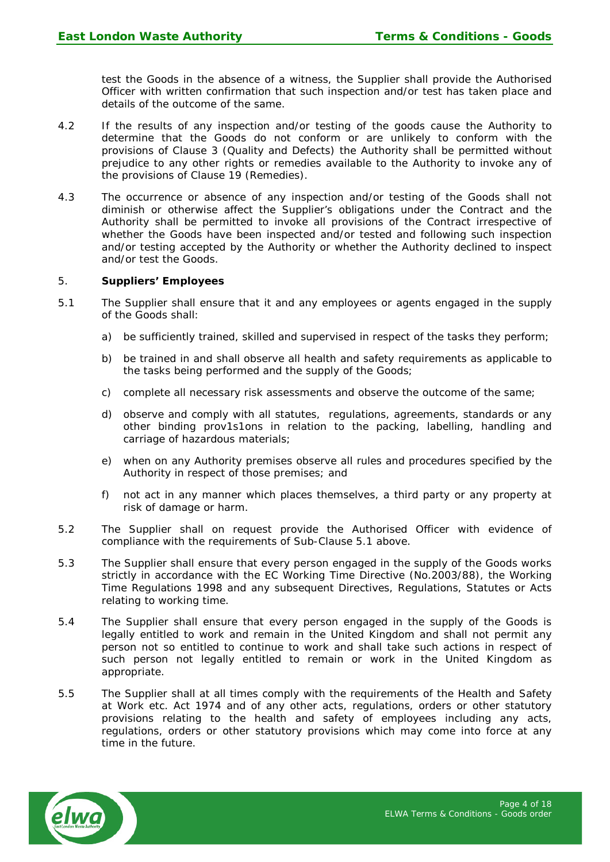test the Goods in the absence of a witness, the Supplier shall provide the Authorised Officer with written confirmation that such inspection and/or test has taken place and details of the outcome of the same.

- 4.2 If the results of any inspection and/or testing of the goods cause the Authority to determine that the Goods do not conform or are unlikely to conform with the provisions of Clause 3 (Quality and Defects) the Authority shall be permitted without prejudice to any other rights or remedies available to the Authority to invoke any of the provisions of Clause 19 (Remedies).
- 4.3 The occurrence or absence of any inspection and/or testing of the Goods shall not diminish or otherwise affect the Supplier's obligations under the Contract and the Authority shall be permitted to invoke all provisions of the Contract irrespective of whether the Goods have been inspected and/or tested and following such inspection and/or testing accepted by the Authority or whether the Authority declined to inspect and/or test the Goods.

#### 5. **Suppliers' Employees**

- 5.1 The Supplier shall ensure that it and any employees or agents engaged in the supply of the Goods shall:
	- a) be sufficiently trained, skilled and supervised in respect of the tasks they perform;
	- b) be trained in and shall observe all health and safety requirements as applicable to the tasks being performed and the supply of the Goods;
	- c) complete all necessary risk assessments and observe the outcome of the same;
	- d) observe and comply with all statutes, regulations, agreements, standards or any other binding prov1s1ons in relation to the packing, labelling, handling and carriage of hazardous materials;
	- e) when on any Authority premises observe all rules and procedures specified by the Authority in respect of those premises; and
	- f) not act in any manner which places themselves, a third party or any property at risk of damage or harm.
- 5.2 The Supplier shall on request provide the Authorised Officer with evidence of compliance with the requirements of Sub-Clause 5.1 above.
- 5.3 The Supplier shall ensure that every person engaged in the supply of the Goods works strictly in accordance with the EC Working Time Directive (No.2003/88), the Working Time Regulations 1998 and any subsequent Directives, Regulations, Statutes or Acts relating to working time.
- 5.4 The Supplier shall ensure that every person engaged in the supply of the Goods is legally entitled to work and remain in the United Kingdom and shall not permit any person not so entitled to continue to work and shall take such actions in respect of such person not legally entitled to remain or work in the United Kingdom as appropriate.
- 5.5 The Supplier shall at all times comply with the requirements of the Health and Safety at Work etc. Act 1974 and of any other acts, regulations, orders or other statutory provisions relating to the health and safety of employees including any acts, regulations, orders or other statutory provisions which may come into force at any time in the future.

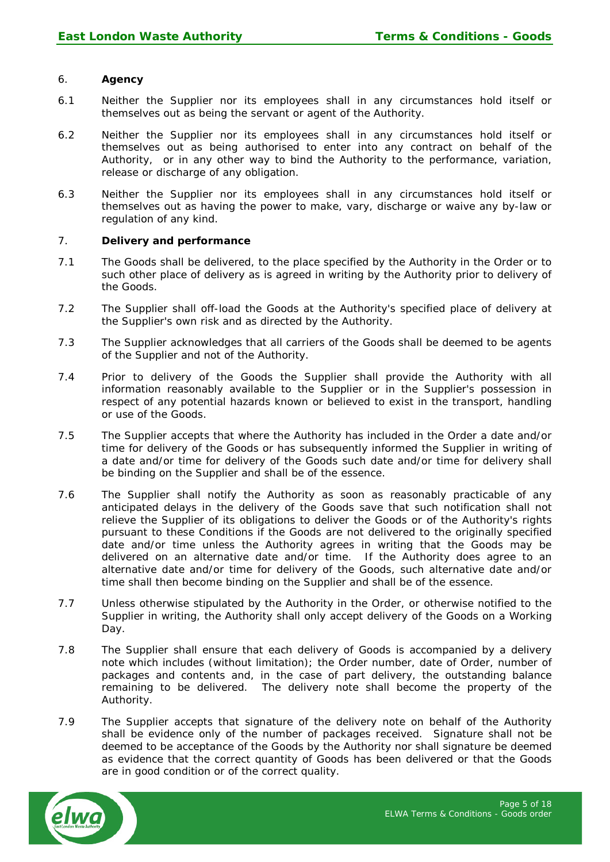### 6. **Agency**

- 6.1 Neither the Supplier nor its employees shall in any circumstances hold itself or themselves out as being the servant or agent of the Authority.
- 6.2 Neither the Supplier nor its employees shall in any circumstances hold itself or themselves out as being authorised to enter into any contract on behalf of the Authority, or in any other way to bind the Authority to the performance, variation, release or discharge of any obligation.
- 6.3 Neither the Supplier nor its employees shall in any circumstances hold itself or themselves out as having the power to make, vary, discharge or waive any by-law or regulation of any kind.

#### 7. **Delivery and performance**

- 7.1 The Goods shall be delivered, to the place specified by the Authority in the Order or to such other place of delivery as is agreed in writing by the Authority prior to delivery of the Goods.
- 7.2 The Supplier shall off-load the Goods at the Authority's specified place of delivery at the Supplier's own risk and as directed by the Authority.
- 7.3 The Supplier acknowledges that all carriers of the Goods shall be deemed to be agents of the Supplier and not of the Authority.
- 7.4 Prior to delivery of the Goods the Supplier shall provide the Authority with all information reasonably available to the Supplier or in the Supplier's possession in respect of any potential hazards known or believed to exist in the transport, handling or use of the Goods.
- 7.5 The Supplier accepts that where the Authority has included in the Order a date and/or time for delivery of the Goods or has subsequently informed the Supplier in writing of a date and/or time for delivery of the Goods such date and/or time for delivery shall be binding on the Supplier and shall be of the essence.
- 7.6 The Supplier shall notify the Authority as soon as reasonably practicable of any anticipated delays in the delivery of the Goods save that such notification shall not relieve the Supplier of its obligations to deliver the Goods or of the Authority's rights pursuant to these Conditions if the Goods are not delivered to the originally specified date and/or time unless the Authority agrees in writing that the Goods may be delivered on an alternative date and/or time. If the Authority does agree to an alternative date and/or time for delivery of the Goods, such alternative date and/or time shall then become binding on the Supplier and shall be of the essence.
- 7.7 Unless otherwise stipulated by the Authority in the Order, or otherwise notified to the Supplier in writing, the Authority shall only accept delivery of the Goods on a Working Day.
- 7.8 The Supplier shall ensure that each delivery of Goods is accompanied by a delivery note which includes (without limitation); the Order number, date of Order, number of packages and contents and, in the case of part delivery, the outstanding balance remaining to be delivered. The delivery note shall become the property of the Authority.
- 7.9 The Supplier accepts that signature of the delivery note on behalf of the Authority shall be evidence only of the number of packages received. Signature shall not be deemed to be acceptance of the Goods by the Authority nor shall signature be deemed as evidence that the correct quantity of Goods has been delivered or that the Goods are in good condition or of the correct quality.

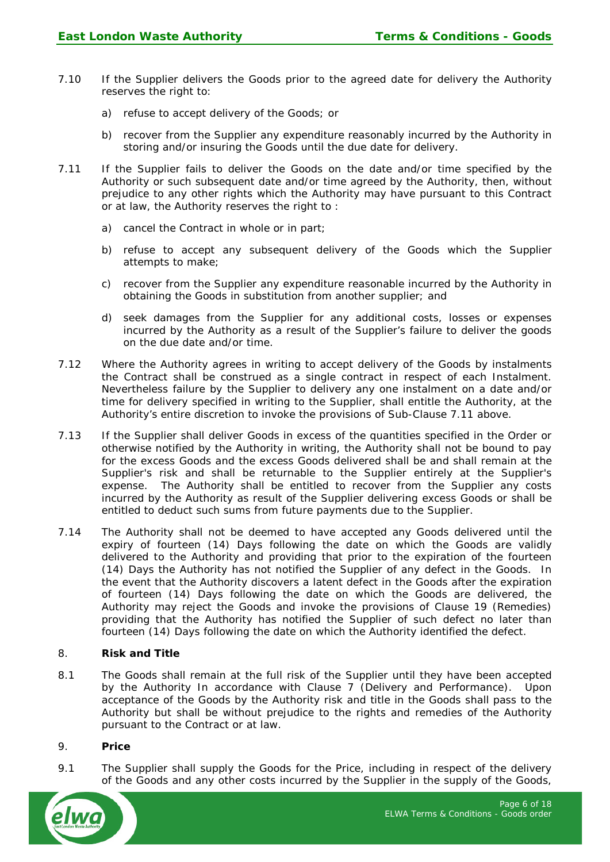- 7.10 If the Supplier delivers the Goods prior to the agreed date for delivery the Authority reserves the right to:
	- a) refuse to accept delivery of the Goods; or
	- b) recover from the Supplier any expenditure reasonably incurred by the Authority in storing and/or insuring the Goods until the due date for delivery.
- 7.11 If the Supplier fails to deliver the Goods on the date and/or time specified by the Authority or such subsequent date and/or time agreed by the Authority, then, without prejudice to any other rights which the Authority may have pursuant to this Contract or at law, the Authority reserves the right to :
	- a) cancel the Contract in whole or in part;
	- b) refuse to accept any subsequent delivery of the Goods which the Supplier attempts to make;
	- c) recover from the Supplier any expenditure reasonable incurred by the Authority in obtaining the Goods in substitution from another supplier; and
	- d) seek damages from the Supplier for any additional costs, losses or expenses incurred by the Authority as a result of the Supplier's failure to deliver the goods on the due date and/or time.
- 7.12 Where the Authority agrees in writing to accept delivery of the Goods by instalments the Contract shall be construed as a single contract in respect of each Instalment. Nevertheless failure by the Supplier to delivery any one instalment on a date and/or time for delivery specified in writing to the Supplier, shall entitle the Authority, at the Authority's entire discretion to invoke the provisions of Sub-Clause 7.11 above.
- 7.13 If the Supplier shall deliver Goods in excess of the quantities specified in the Order or otherwise notified by the Authority in writing, the Authority shall not be bound to pay for the excess Goods and the excess Goods delivered shall be and shall remain at the Supplier's risk and shall be returnable to the Supplier entirely at the Supplier's expense. The Authority shall be entitled to recover from the Supplier any costs incurred by the Authority as result of the Supplier delivering excess Goods or shall be entitled to deduct such sums from future payments due to the Supplier.
- 7.14 The Authority shall not be deemed to have accepted any Goods delivered until the expiry of fourteen (14) Days following the date on which the Goods are validly delivered to the Authority and providing that prior to the expiration of the fourteen (14) Days the Authority has not notified the Supplier of any defect in the Goods. In the event that the Authority discovers a latent defect in the Goods after the expiration of fourteen (14) Days following the date on which the Goods are delivered, the Authority may reject the Goods and invoke the provisions of Clause 19 (Remedies) providing that the Authority has notified the Supplier of such defect no later than fourteen (14) Days following the date on which the Authority identified the defect.

### 8. **Risk and Title**

8.1 The Goods shall remain at the full risk of the Supplier until they have been accepted by the Authority In accordance with Clause 7 (Delivery and Performance). Upon acceptance of the Goods by the Authority risk and title in the Goods shall pass to the Authority but shall be without prejudice to the rights and remedies of the Authority pursuant to the Contract or at law.

### 9. **Price**

9.1 The Supplier shall supply the Goods for the Price, including in respect of the delivery of the Goods and any other costs incurred by the Supplier in the supply of the Goods,

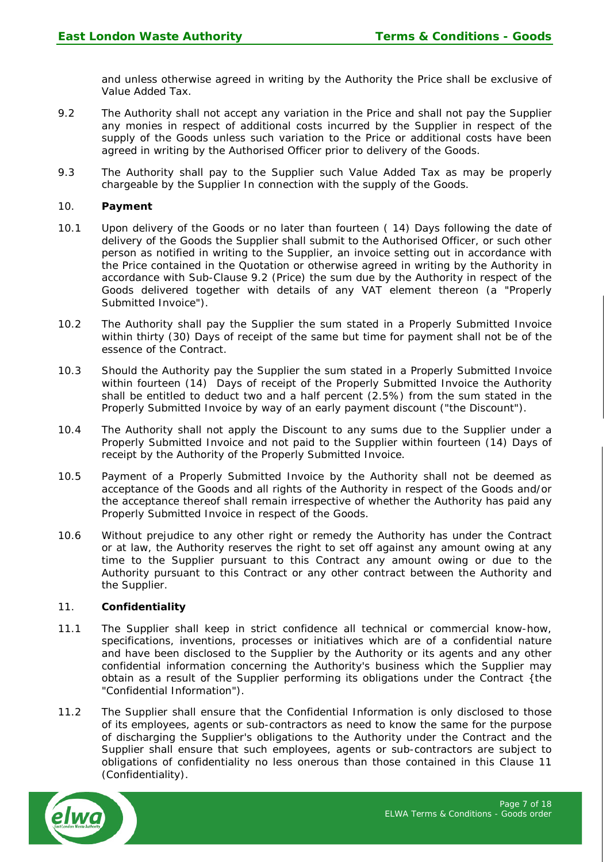and unless otherwise agreed in writing by the Authority the Price shall be exclusive of Value Added Tax.

- 9.2 The Authority shall not accept any variation in the Price and shall not pay the Supplier any monies in respect of additional costs incurred by the Supplier in respect of the supply of the Goods unless such variation to the Price or additional costs have been agreed in writing by the Authorised Officer prior to delivery of the Goods.
- 9.3 The Authority shall pay to the Supplier such Value Added Tax as may be properly chargeable by the Supplier In connection with the supply of the Goods.

### 10. **Payment**

- 10.1 Upon delivery of the Goods or no later than fourteen ( 14) Days following the date of delivery of the Goods the Supplier shall submit to the Authorised Officer, or such other person as notified in writing to the Supplier, an invoice setting out in accordance with the Price contained in the Quotation or otherwise agreed in writing by the Authority in accordance with Sub-Clause 9.2 (Price) the sum due by the Authority in respect of the Goods delivered together with details of any VAT element thereon (a "Properly Submitted Invoice").
- 10.2 The Authority shall pay the Supplier the sum stated in a Properly Submitted Invoice within thirty (30) Days of receipt of the same but time for payment shall not be of the essence of the Contract.
- 10.3 Should the Authority pay the Supplier the sum stated in a Properly Submitted Invoice within fourteen (14) Days of receipt of the Properly Submitted Invoice the Authority shall be entitled to deduct two and a half percent (2.5%) from the sum stated in the Properly Submitted Invoice by way of an early payment discount ("the Discount").
- 10.4 The Authority shall not apply the Discount to any sums due to the Supplier under a Properly Submitted Invoice and not paid to the Supplier within fourteen (14) Days of receipt by the Authority of the Properly Submitted Invoice.
- 10.5 Payment of a Properly Submitted Invoice by the Authority shall not be deemed as acceptance of the Goods and all rights of the Authority in respect of the Goods and/or the acceptance thereof shall remain irrespective of whether the Authority has paid any Properly Submitted Invoice in respect of the Goods.
- 10.6 Without prejudice to any other right or remedy the Authority has under the Contract or at law, the Authority reserves the right to set off against any amount owing at any time to the Supplier pursuant to this Contract any amount owing or due to the Authority pursuant to this Contract or any other contract between the Authority and the Supplier.

### 11. **Confidentiality**

- 11.1 The Supplier shall keep in strict confidence all technical or commercial know-how, specifications, inventions, processes or initiatives which are of a confidential nature and have been disclosed to the Supplier by the Authority or its agents and any other confidential information concerning the Authority's business which the Supplier may obtain as a result of the Supplier performing its obligations under the Contract {the "Confidential Information").
- 11.2 The Supplier shall ensure that the Confidential Information is only disclosed to those of its employees, agents or sub-contractors as need to know the same for the purpose of discharging the Supplier's obligations to the Authority under the Contract and the Supplier shall ensure that such employees, agents or sub-contractors are subject to obligations of confidentiality no less onerous than those contained in this Clause 11 (Confidentiality).

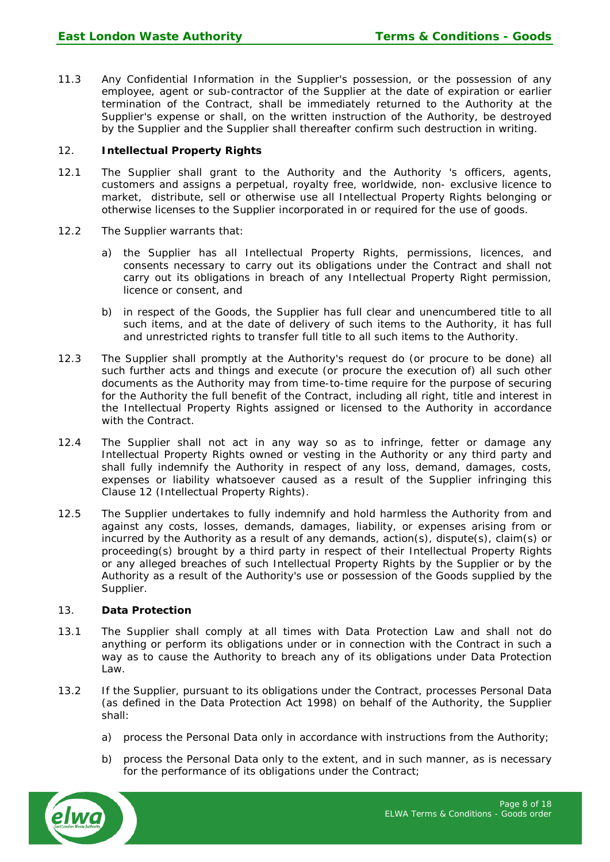11.3 Any Confidential Information in the Supplier's possession, or the possession of any employee, agent or sub-contractor of the Supplier at the date of expiration or earlier termination of the Contract, shall be immediately returned to the Authority at the Supplier's expense or shall, on the written instruction of the Authority, be destroyed by the Supplier and the Supplier shall thereafter confirm such destruction in writing.

# 12. **Intellectual Property Rights**

- 12.1 The Supplier shall grant to the Authority and the Authority 's officers, agents, customers and assigns a perpetual, royalty free, worldwide, non- exclusive licence to market, distribute, sell or otherwise use all Intellectual Property Rights belonging or otherwise licenses to the Supplier incorporated in or required for the use of goods.
- 12.2 The Supplier warrants that:
	- a) the Supplier has all Intellectual Property Rights, permissions, licences, and consents necessary to carry out its obligations under the Contract and shall not carry out its obligations in breach of any Intellectual Property Right permission, licence or consent, and
	- b) in respect of the Goods, the Supplier has full clear and unencumbered title to all such items, and at the date of delivery of such items to the Authority, it has full and unrestricted rights to transfer full title to all such items to the Authority.
- 12.3 The Supplier shall promptly at the Authority's request do (or procure to be done) all such further acts and things and execute (or procure the execution of) all such other documents as the Authority may from time-to-time require for the purpose of securing for the Authority the full benefit of the Contract, including all right, title and interest in the Intellectual Property Rights assigned or licensed to the Authority in accordance with the Contract.
- 12.4 The Supplier shall not act in any way so as to infringe, fetter or damage any Intellectual Property Rights owned or vesting in the Authority or any third party and shall fully indemnify the Authority in respect of any loss, demand, damages, costs, expenses or liability whatsoever caused as a result of the Supplier infringing this Clause 12 (Intellectual Property Rights).
- 12.5 The Supplier undertakes to fully indemnify and hold harmless the Authority from and against any costs, losses, demands, damages, liability, or expenses arising from or incurred by the Authority as a result of any demands, action(s), dispute(s), claim(s) or proceeding(s) brought by a third party in respect of their Intellectual Property Rights or any alleged breaches of such Intellectual Property Rights by the Supplier or by the Authority as a result of the Authority's use or possession of the Goods supplied by the Supplier.

### 13. **Data Protection**

- 13.1 The Supplier shall comply at all times with Data Protection Law and shall not do anything or perform its obligations under or in connection with the Contract in such a way as to cause the Authority to breach any of its obligations under Data Protection Law.
- 13.2 If the Supplier, pursuant to its obligations under the Contract, processes Personal Data (as defined in the Data Protection Act 1998) on behalf of the Authority, the Supplier shall:
	- a) process the Personal Data only in accordance with instructions from the Authority;
	- b) process the Personal Data only to the extent, and in such manner, as is necessary for the performance of its obligations under the Contract;

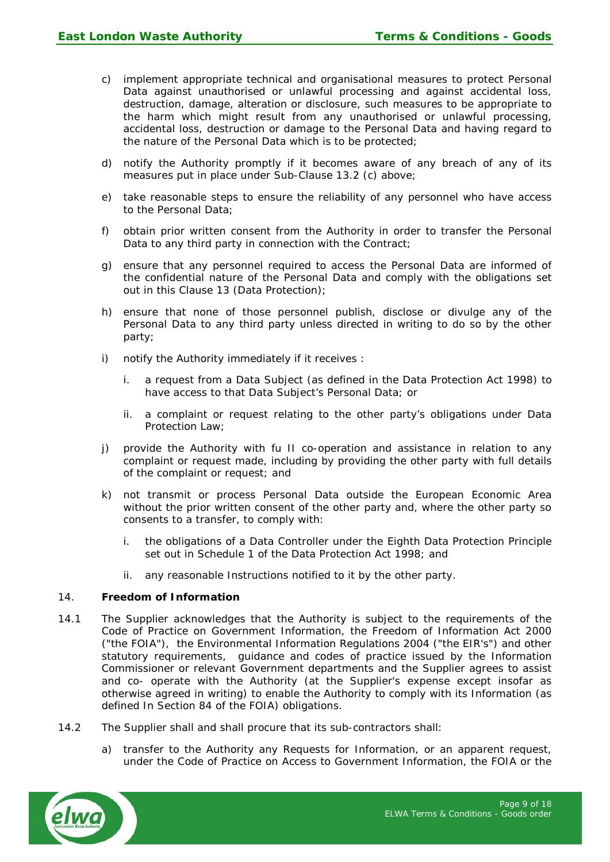- c) implement appropriate technical and organisational measures to protect Personal Data against unauthorised or unlawful processing and against accidental loss, destruction, damage, alteration or disclosure, such measures to be appropriate to the harm which might result from any unauthorised or unlawful processing, accidental loss, destruction or damage to the Personal Data and having regard to the nature of the Personal Data which is to be protected;
- d) notify the Authority promptly if it becomes aware of any breach of any of its measures put in place under Sub-Clause 13.2 (c) above;
- e) take reasonable steps to ensure the reliability of any personnel who have access to the Personal Data;
- f) obtain prior written consent from the Authority in order to transfer the Personal Data to any third party in connection with the Contract:
- g) ensure that any personnel required to access the Personal Data are informed of the confidential nature of the Personal Data and comply with the obligations set out in this Clause 13 (Data Protection);
- h) ensure that none of those personnel publish, disclose or divulge any of the Personal Data to any third party unless directed in writing to do so by the other party;
- i) notify the Authority immediately if it receives :
	- i. a request from a Data Subject (as defined in the Data Protection Act 1998) to have access to that Data Subject's Personal Data; or
	- ii. a complaint or request relating to the other party's obligations under Data Protection Law;
- j) provide the Authority with fu II co-operation and assistance in relation to any complaint or request made, including by providing the other party with full details of the complaint or request; and
- k) not transmit or process Personal Data outside the European Economic Area without the prior written consent of the other party and, where the other party so consents to a transfer, to comply with:
	- i. the obligations of a Data Controller under the Eighth Data Protection Principle set out in Schedule 1 of the Data Protection Act 1998; and
	- ii. any reasonable Instructions notified to it by the other party.

### 14. **Freedom of Information**

- 14.1 The Supplier acknowledges that the Authority is subject to the requirements of the Code of Practice on Government Information, the Freedom of Information Act 2000 ("the FOIA"), the Environmental Information Regulations 2004 ("the EIR's") and other statutory requirements, guidance and codes of practice issued by the Information Commissioner or relevant Government departments and the Supplier agrees to assist and co- operate with the Authority (at the Supplier's expense except insofar as otherwise agreed in writing) to enable the Authority to comply with its Information (as defined In Section 84 of the FOIA) obligations.
- 14.2 The Supplier shall and shall procure that its sub-contractors shall:
	- a) transfer to the Authority any Requests for Information, or an apparent request, under the Code of Practice on Access to Government Information, the FOIA or the

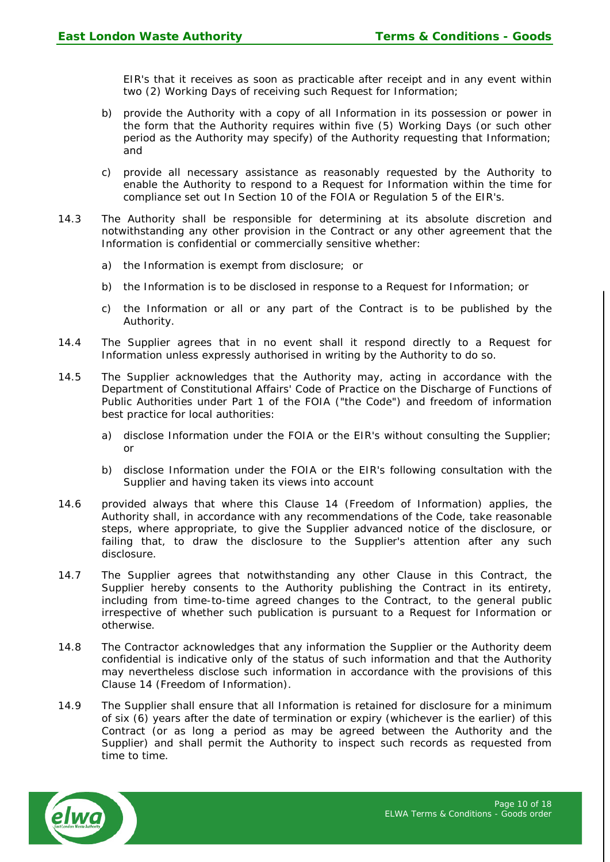EIR's that it receives as soon as practicable after receipt and in any event within two (2) Working Days of receiving such Request for Information;

- b) provide the Authority with a copy of all Information in its possession or power in the form that the Authority requires within five (5) Working Days (or such other period as the Authority may specify) of the Authority requesting that Information; and
- c) provide all necessary assistance as reasonably requested by the Authority to enable the Authority to respond to a Request for Information within the time for compliance set out In Section 10 of the FOIA or Regulation 5 of the EIR's.
- 14.3 The Authority shall be responsible for determining at its absolute discretion and notwithstanding any other provision in the Contract or any other agreement that the Information is confidential or commercially sensitive whether:
	- a) the Information is exempt from disclosure; or
	- b) the Information is to be disclosed in response to a Request for Information; or
	- c) the Information or all or any part of the Contract is to be published by the Authority.
- 14.4 The Supplier agrees that in no event shall it respond directly to a Request for Information unless expressly authorised in writing by the Authority to do so.
- 14.5 The Supplier acknowledges that the Authority may, acting in accordance with the Department of Constitutional Affairs' Code of Practice on the Discharge of Functions of Public Authorities under Part 1 of the FOIA ("the Code") and freedom of information best practice for local authorities:
	- a) disclose Information under the FOIA or the EIR's without consulting the Supplier; or
	- b) disclose Information under the FOIA or the EIR's following consultation with the Supplier and having taken its views into account
- 14.6 provided always that where this Clause 14 (Freedom of Information) applies, the Authority shall, in accordance with any recommendations of the Code, take reasonable steps, where appropriate, to give the Supplier advanced notice of the disclosure, or failing that, to draw the disclosure to the Supplier's attention after any such disclosure.
- 14.7 The Supplier agrees that notwithstanding any other Clause in this Contract, the Supplier hereby consents to the Authority publishing the Contract in its entirety, including from time-to-time agreed changes to the Contract, to the general public irrespective of whether such publication is pursuant to a Request for Information or otherwise.
- 14.8 The Contractor acknowledges that any information the Supplier or the Authority deem confidential is indicative only of the status of such information and that the Authority may nevertheless disclose such information in accordance with the provisions of this Clause 14 (Freedom of Information).
- 14.9 The Supplier shall ensure that all Information is retained for disclosure for a minimum of six (6) years after the date of termination or expiry (whichever is the earlier) of this Contract (or as long a period as may be agreed between the Authority and the Supplier) and shall permit the Authority to inspect such records as requested from time to time.

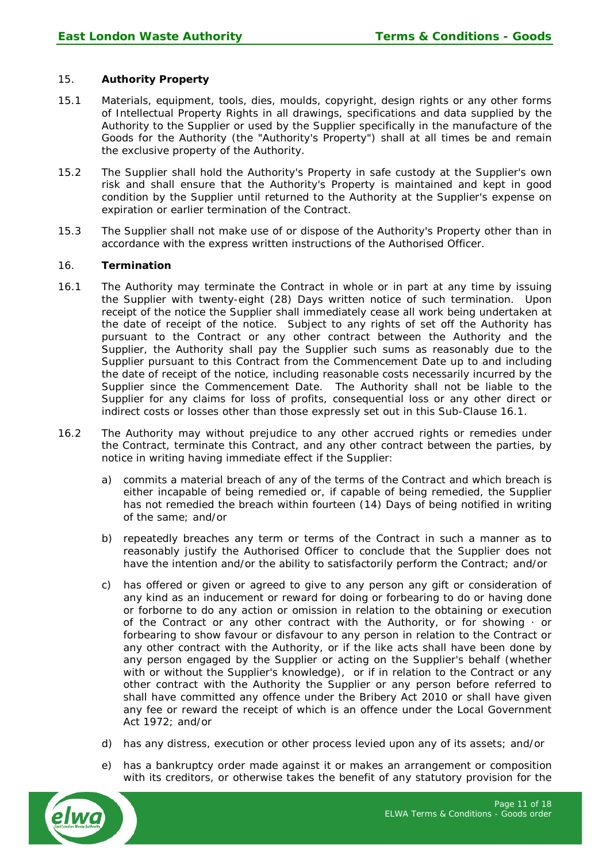# 15. **Authority Property**

- 15.1 Materials, equipment, tools, dies, moulds, copyright, design rights or any other forms of Intellectual Property Rights in all drawings, specifications and data supplied by the Authority to the Supplier or used by the Supplier specifically in the manufacture of the Goods for the Authority (the "Authority's Property") shall at all times be and remain the exclusive property of the Authority.
- 15.2 The Supplier shall hold the Authority's Property in safe custody at the Supplier's own risk and shall ensure that the Authority's Property is maintained and kept in good condition by the Supplier until returned to the Authority at the Supplier's expense on expiration or earlier termination of the Contract.
- 15.3 The Supplier shall not make use of or dispose of the Authority's Property other than in accordance with the express written instructions of the Authorised Officer.

### 16. **Termination**

- 16.1 The Authority may terminate the Contract in whole or in part at any time by issuing the Supplier with twenty-eight (28) Days written notice of such termination. Upon receipt of the notice the Supplier shall immediately cease all work being undertaken at the date of receipt of the notice. Subject to any rights of set off the Authority has pursuant to the Contract or any other contract between the Authority and the Supplier, the Authority shall pay the Supplier such sums as reasonably due to the Supplier pursuant to this Contract from the Commencement Date up to and including the date of receipt of the notice, including reasonable costs necessarily incurred by the Supplier since the Commencement Date. The Authority shall not be liable to the Supplier for any claims for loss of profits, consequential loss or any other direct or indirect costs or losses other than those expressly set out in this Sub-Clause 16.1.
- 16.2 The Authority may without prejudice to any other accrued rights or remedies under the Contract, terminate this Contract, and any other contract between the parties, by notice in writing having immediate effect if the Supplier:
	- a) commits a material breach of any of the terms of the Contract and which breach is either incapable of being remedied or, if capable of being remedied, the Supplier has not remedied the breach within fourteen (14) Days of being notified in writing of the same; and/or
	- b) repeatedly breaches any term or terms of the Contract in such a manner as to reasonably justify the Authorised Officer to conclude that the Supplier does not have the intention and/or the ability to satisfactorily perform the Contract; and/or
	- c) has offered or given or agreed to give to any person any gift or consideration of any kind as an inducement or reward for doing or forbearing to do or having done or forborne to do any action or omission in relation to the obtaining or execution of the Contract or any other contract with the Authority, or for showing  $\cdot$  or forbearing to show favour or disfavour to any person in relation to the Contract or any other contract with the Authority, or if the like acts shall have been done by any person engaged by the Supplier or acting on the Supplier's behalf (whether with or without the Supplier's knowledge), or if in relation to the Contract or any other contract with the Authority the Supplier or any person before referred to shall have committed any offence under the Bribery Act 2010 or shall have given any fee or reward the receipt of which is an offence under the Local Government Act 1972; and/or
	- d) has any distress, execution or other process levied upon any of its assets; and/or
	- e) has a bankruptcy order made against it or makes an arrangement or composition with its creditors, or otherwise takes the benefit of any statutory provision for the

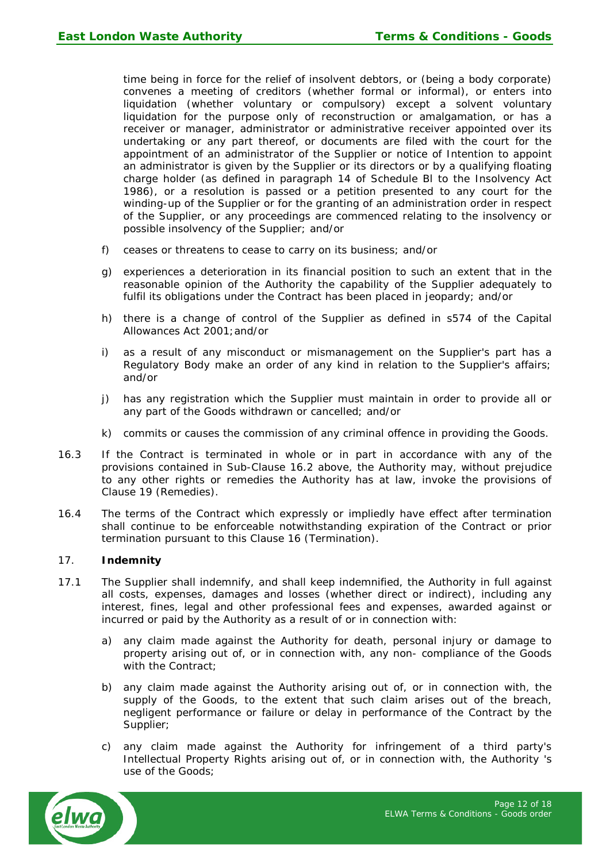time being in force for the relief of insolvent debtors, or (being a body corporate) convenes a meeting of creditors (whether formal or informal), or enters into liquidation (whether voluntary or compulsory) except a solvent voluntary liquidation for the purpose only of reconstruction or amalgamation, or has a receiver or manager, administrator or administrative receiver appointed over its undertaking or any part thereof, or documents are filed with the court for the appointment of an administrator of the Supplier or notice of Intention to appoint an administrator is given by the Supplier or its directors or by a qualifying floating charge holder (as defined in paragraph 14 of Schedule Bl to the Insolvency Act 1986), or a resolution is passed or a petition presented to any court for the winding-up of the Supplier or for the granting of an administration order in respect of the Supplier, or any proceedings are commenced relating to the insolvency or possible insolvency of the Supplier; and/or

- f) ceases or threatens to cease to carry on its business; and/or
- g) experiences a deterioration in its financial position to such an extent that in the reasonable opinion of the Authority the capability of the Supplier adequately to fulfil its obligations under the Contract has been placed in jeopardy; and/or
- h) there is a change of control of the Supplier as defined in s574 of the Capital Allowances Act 2001;and/or
- i) as a result of any misconduct or mismanagement on the Supplier's part has a Regulatory Body make an order of any kind in relation to the Supplier's affairs; and/or
- j) has any registration which the Supplier must maintain in order to provide all or any part of the Goods withdrawn or cancelled; and/or
- k) commits or causes the commission of any criminal offence in providing the Goods.
- 16.3 If the Contract is terminated in whole or in part in accordance with any of the provisions contained in Sub-Clause 16.2 above, the Authority may, without prejudice to any other rights or remedies the Authority has at law, invoke the provisions of Clause 19 (Remedies).
- 16.4 The terms of the Contract which expressly or impliedly have effect after termination shall continue to be enforceable notwithstanding expiration of the Contract or prior termination pursuant to this Clause 16 (Termination).

# 17. **Indemnity**

- 17.1 The Supplier shall indemnify, and shall keep indemnified, the Authority in full against all costs, expenses, damages and losses (whether direct or indirect), including any interest, fines, legal and other professional fees and expenses, awarded against or incurred or paid by the Authority as a result of or in connection with:
	- a) any claim made against the Authority for death, personal injury or damage to property arising out of, or in connection with, any non- compliance of the Goods with the Contract;
	- b) any claim made against the Authority arising out of, or in connection with, the supply of the Goods, to the extent that such claim arises out of the breach, negligent performance or failure or delay in performance of the Contract by the Supplier;
	- c) any claim made against the Authority for infringement of a third party's Intellectual Property Rights arising out of, or in connection with, the Authority 's use of the Goods;

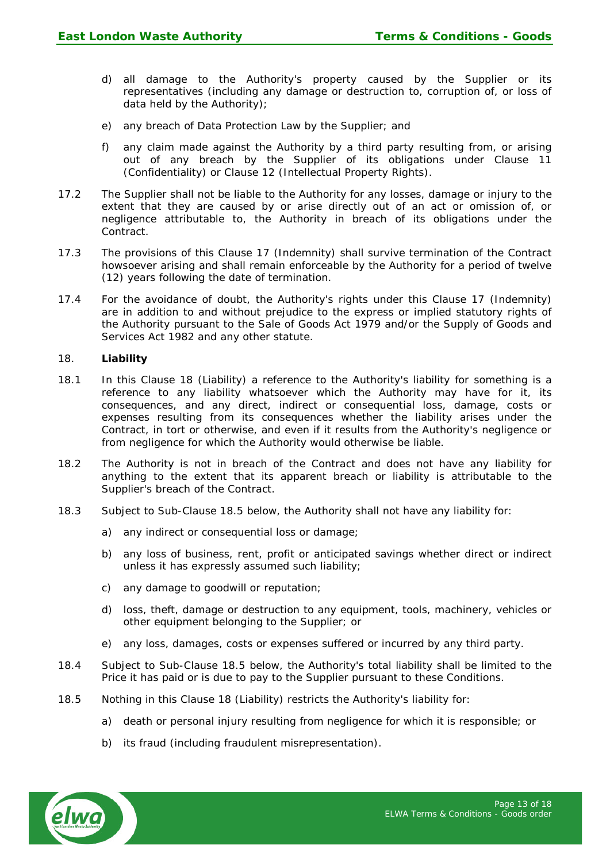- d) all damage to the Authority's property caused by the Supplier or its representatives (including any damage or destruction to, corruption of, or loss of data held by the Authority);
- e) any breach of Data Protection Law by the Supplier; and
- f) any claim made against the Authority by a third party resulting from, or arising out of any breach by the Supplier of its obligations under Clause 11 (Confidentiality) or Clause 12 (Intellectual Property Rights).
- 17.2 The Supplier shall not be liable to the Authority for any losses, damage or injury to the extent that they are caused by or arise directly out of an act or omission of, or negligence attributable to, the Authority in breach of its obligations under the Contract.
- 17.3 The provisions of this Clause 17 (Indemnity) shall survive termination of the Contract howsoever arising and shall remain enforceable by the Authority for a period of twelve (12) years following the date of termination.
- 17.4 For the avoidance of doubt, the Authority's rights under this Clause 17 (Indemnity) are in addition to and without prejudice to the express or implied statutory rights of the Authority pursuant to the Sale of Goods Act 1979 and/or the Supply of Goods and Services Act 1982 and any other statute.

#### 18. **Liability**

- 18.1 In this Clause 18 (Liability) a reference to the Authority's liability for something is a reference to any liability whatsoever which the Authority may have for it, its consequences, and any direct, indirect or consequential loss, damage, costs or expenses resulting from its consequences whether the liability arises under the Contract, in tort or otherwise, and even if it results from the Authority's negligence or from negligence for which the Authority would otherwise be liable.
- 18.2 The Authority is not in breach of the Contract and does not have any liability for anything to the extent that its apparent breach or liability is attributable to the Supplier's breach of the Contract.
- 18.3 Subject to Sub-Clause 18.5 below, the Authority shall not have any liability for:
	- a) any indirect or consequential loss or damage;
	- b) any loss of business, rent, profit or anticipated savings whether direct or indirect unless it has expressly assumed such liability;
	- c) any damage to goodwill or reputation;
	- d) loss, theft, damage or destruction to any equipment, tools, machinery, vehicles or other equipment belonging to the Supplier; or
	- e) any loss, damages, costs or expenses suffered or incurred by any third party.
- 18.4 Subject to Sub-Clause 18.5 below, the Authority's total liability shall be limited to the Price it has paid or is due to pay to the Supplier pursuant to these Conditions.
- 18.5 Nothing in this Clause 18 (Liability) restricts the Authority's liability for:
	- a) death or personal injury resulting from negligence for which it is responsible; or
	- b) its fraud (including fraudulent misrepresentation).

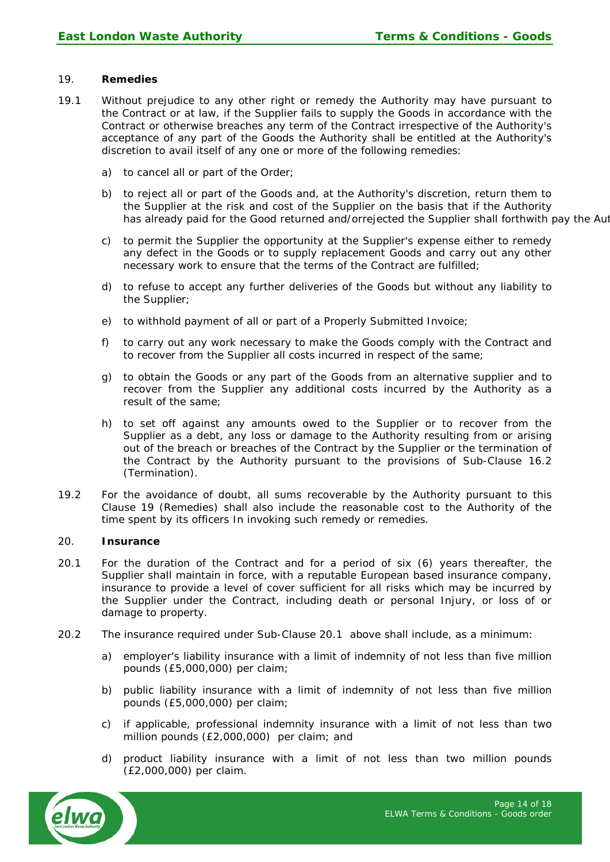#### 19. **Remedies**

- 19.1 Without prejudice to any other right or remedy the Authority may have pursuant to the Contract or at law, if the Supplier fails to supply the Goods in accordance with the Contract or otherwise breaches any term of the Contract irrespective of the Authority's acceptance of any part of the Goods the Authority shall be entitled at the Authority's discretion to avail itself of any one or more of the following remedies:
	- a) to cancel all or part of the Order;
	- b) to reject all or part of the Goods and, at the Authority's discretion, return them to the Supplier at the risk and cost of the Supplier on the basis that if the Authority has already paid for the Good returned and/orrejected the Supplier shall forthwith pay the Aut
	- c) to permit the Supplier the opportunity at the Supplier's expense either to remedy any defect in the Goods or to supply replacement Goods and carry out any other necessary work to ensure that the terms of the Contract are fulfilled;
	- d) to refuse to accept any further deliveries of the Goods but without any liability to the Supplier;
	- e) to withhold payment of all or part of a Properly Submitted Invoice;
	- f) to carry out any work necessary to make the Goods comply with the Contract and to recover from the Supplier all costs incurred in respect of the same;
	- g) to obtain the Goods or any part of the Goods from an alternative supplier and to recover from the Supplier any additional costs incurred by the Authority as a result of the same;
	- h) to set off against any amounts owed to the Supplier or to recover from the Supplier as a debt, any loss or damage to the Authority resulting from or arising out of the breach or breaches of the Contract by the Supplier or the termination of the Contract by the Authority pursuant to the provisions of Sub-Clause 16.2 (Termination).
- 19.2 For the avoidance of doubt, all sums recoverable by the Authority pursuant to this Clause 19 (Remedies) shall also include the reasonable cost to the Authority of the time spent by its officers In invoking such remedy or remedies.

### 20. **Insurance**

- 20.1 For the duration of the Contract and for a period of six (6) years thereafter, the Supplier shall maintain in force, with a reputable European based insurance company, insurance to provide a level of cover sufficient for all risks which may be incurred by the Supplier under the Contract, including death or personal Injury, or loss of or damage to property.
- 20.2 The insurance required under Sub-Clause 20.1 above shall include, as a minimum:
	- a) employer's liability insurance with a limit of indemnity of not less than five million pounds (£5,000,000) per claim;
	- b) public liability insurance with a limit of indemnity of not less than five million pounds (£5,000,000) per claim;
	- c) if applicable, professional indemnity insurance with a limit of not less than two million pounds (£2,000,000) per claim; and
	- d) product liability insurance with a limit of not less than two million pounds (£2,000,000) per claim.

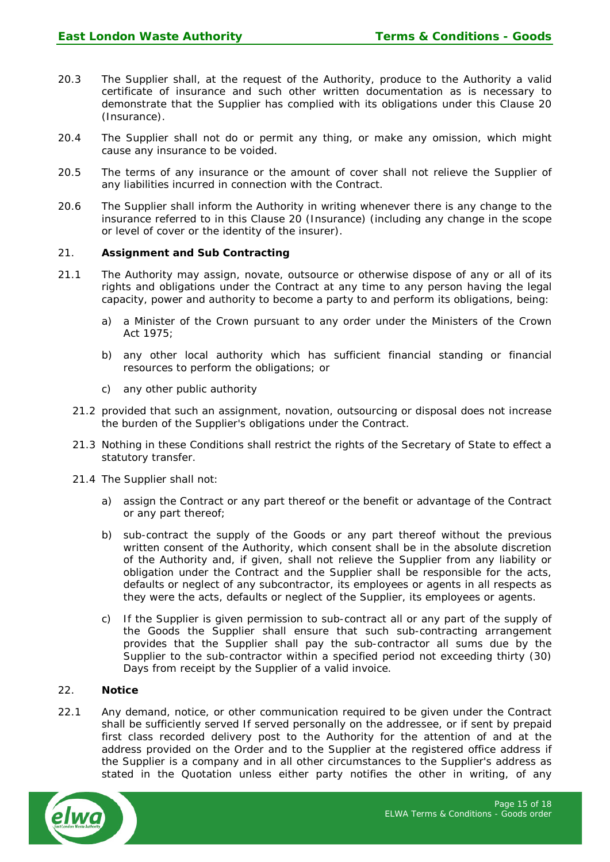- 20.3 The Supplier shall, at the request of the Authority, produce to the Authority a valid certificate of insurance and such other written documentation as is necessary to demonstrate that the Supplier has complied with its obligations under this Clause 20 (Insurance).
- 20.4 The Supplier shall not do or permit any thing, or make any omission, which might cause any insurance to be voided.
- 20.5 The terms of any insurance or the amount of cover shall not relieve the Supplier of any liabilities incurred in connection with the Contract.
- 20.6 The Supplier shall inform the Authority in writing whenever there is any change to the insurance referred to in this Clause 20 (Insurance) (including any change in the scope or level of cover or the identity of the insurer).

#### 21. **Assignment and Sub Contracting**

- 21.1 The Authority may assign, novate, outsource or otherwise dispose of any or all of its rights and obligations under the Contract at any time to any person having the legal capacity, power and authority to become a party to and perform its obligations, being:
	- a) a Minister of the Crown pursuant to any order under the Ministers of the Crown Act 1975;
	- b) any other local authority which has sufficient financial standing or financial resources to perform the obligations; or
	- c) any other public authority
	- 21.2 provided that such an assignment, novation, outsourcing or disposal does not increase the burden of the Supplier's obligations under the Contract.
	- 21.3 Nothing in these Conditions shall restrict the rights of the Secretary of State to effect a statutory transfer.
	- 21.4 The Supplier shall not:
		- a) assign the Contract or any part thereof or the benefit or advantage of the Contract or any part thereof;
		- b) sub-contract the supply of the Goods or any part thereof without the previous written consent of the Authority, which consent shall be in the absolute discretion of the Authority and, if given, shall not relieve the Supplier from any liability or obligation under the Contract and the Supplier shall be responsible for the acts, defaults or neglect of any subcontractor, its employees or agents in all respects as they were the acts, defaults or neglect of the Supplier, its employees or agents.
		- c) If the Supplier is given permission to sub-contract all or any part of the supply of the Goods the Supplier shall ensure that such sub-contracting arrangement provides that the Supplier shall pay the sub-contractor all sums due by the Supplier to the sub-contractor within a specified period not exceeding thirty (30) Days from receipt by the Supplier of a valid invoice.

#### 22. **Notice**

22.1 Any demand, notice, or other communication required to be given under the Contract shall be sufficiently served If served personally on the addressee, or if sent by prepaid first class recorded delivery post to the Authority for the attention of and at the address provided on the Order and to the Supplier at the registered office address if the Supplier is a company and in all other circumstances to the Supplier's address as stated in the Quotation unless either party notifies the other in writing, of any

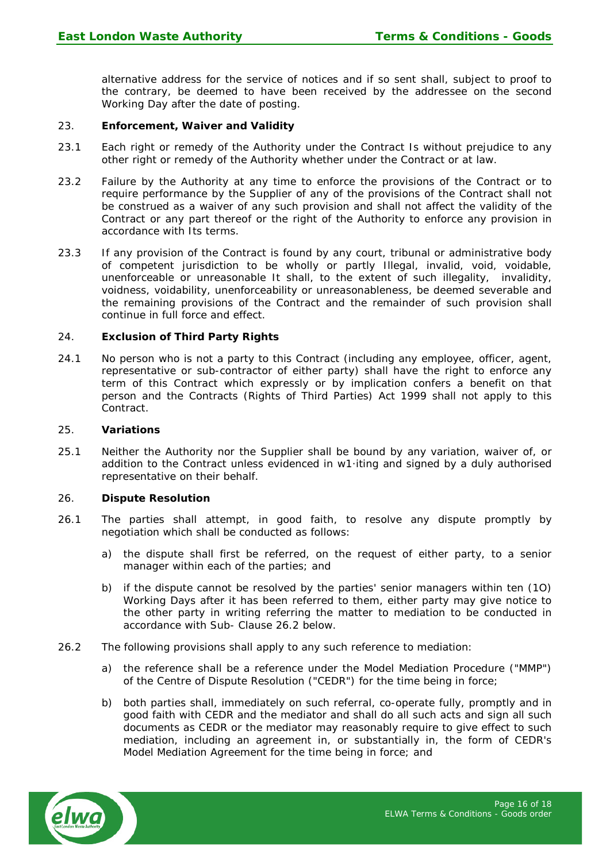alternative address for the service of notices and if so sent shall, subject to proof to the contrary, be deemed to have been received by the addressee on the second Working Day after the date of posting.

### 23. **Enforcement, Waiver and Validity**

- 23.1 Each right or remedy of the Authority under the Contract Is without prejudice to any other right or remedy of the Authority whether under the Contract or at law.
- 23.2 Failure by the Authority at any time to enforce the provisions of the Contract or to require performance by the Supplier of any of the provisions of the Contract shall not be construed as a waiver of any such provision and shall not affect the validity of the Contract or any part thereof or the right of the Authority to enforce any provision in accordance with Its terms.
- 23.3 If any provision of the Contract is found by any court, tribunal or administrative body of competent jurisdiction to be wholly or partly Illegal, invalid, void, voidable, unenforceable or unreasonable It shall, to the extent of such illegality, invalidity, voidness, voidability, unenforceability or unreasonableness, be deemed severable and the remaining provisions of the Contract and the remainder of such provision shall continue in full force and effect.

#### 24. **Exclusion of Third Party Rights**

24.1 No person who is not a party to this Contract (including any employee, officer, agent, representative or sub-contractor of either party) shall have the right to enforce any term of this Contract which expressly or by implication confers a benefit on that person and the Contracts (Rights of Third Parties) Act 1999 shall not apply to this Contract.

#### 25. **Variations**

25.1 Neither the Authority nor the Supplier shall be bound by any variation, waiver of, or addition to the Contract unless evidenced in w1·iting and signed by a duly authorised representative on their behalf.

#### 26. **Dispute Resolution**

- 26.1 The parties shall attempt, in good faith, to resolve any dispute promptly by negotiation which shall be conducted as follows:
	- a) the dispute shall first be referred, on the request of either party, to a senior manager within each of the parties; and
	- b) if the dispute cannot be resolved by the parties' senior managers within ten (1O) Working Days after it has been referred to them, either party may give notice to the other party in writing referring the matter to mediation to be conducted in accordance with Sub- Clause 26.2 below.
- 26.2 The following provisions shall apply to any such reference to mediation:
	- a) the reference shall be a reference under the Model Mediation Procedure ("MMP") of the Centre of Dispute Resolution ("CEDR") for the time being in force;
	- b) both parties shall, immediately on such referral, co-operate fully, promptly and in good faith with CEDR and the mediator and shall do all such acts and sign all such documents as CEDR or the mediator may reasonably require to give effect to such mediation, including an agreement in, or substantially in, the form of CEDR's Model Mediation Agreement for the time being in force; and

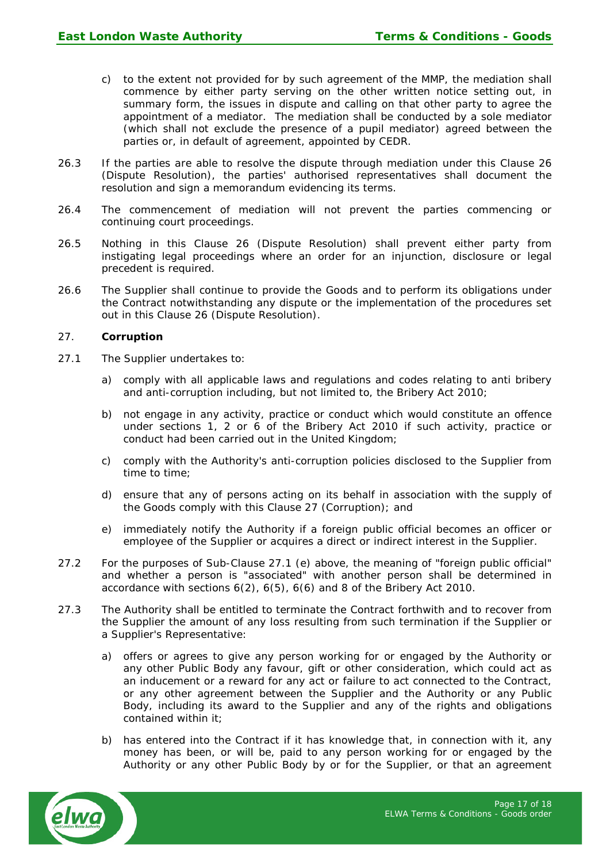- c) to the extent not provided for by such agreement of the MMP, the mediation shall commence by either party serving on the other written notice setting out, in summary form, the issues in dispute and calling on that other party to agree the appointment of a mediator. The mediation shall be conducted by a sole mediator (which shall not exclude the presence of a pupil mediator) agreed between the parties or, in default of agreement, appointed by CEDR.
- 26.3 If the parties are able to resolve the dispute through mediation under this Clause 26 (Dispute Resolution), the parties' authorised representatives shall document the resolution and sign a memorandum evidencing its terms.
- 26.4 The commencement of mediation will not prevent the parties commencing or continuing court proceedings.
- 26.5 Nothing in this Clause 26 (Dispute Resolution) shall prevent either party from instigating legal proceedings where an order for an injunction, disclosure or legal precedent is required.
- 26.6 The Supplier shall continue to provide the Goods and to perform its obligations under the Contract notwithstanding any dispute or the implementation of the procedures set out in this Clause 26 (Dispute Resolution).

#### 27. **Corruption**

- 27.1 The Supplier undertakes to:
	- a) comply with all applicable laws and regulations and codes relating to anti bribery and anti-corruption including, but not limited to, the Bribery Act 2010;
	- b) not engage in any activity, practice or conduct which would constitute an offence under sections 1, 2 or 6 of the Bribery Act 2010 if such activity, practice or conduct had been carried out in the United Kingdom;
	- c) comply with the Authority's anti-corruption policies disclosed to the Supplier from time to time;
	- d) ensure that any of persons acting on its behalf in association with the supply of the Goods comply with this Clause 27 (Corruption); and
	- e) immediately notify the Authority if a foreign public official becomes an officer or employee of the Supplier or acquires a direct or indirect interest in the Supplier.
- 27.2 For the purposes of Sub-Clause 27.1 (e) above, the meaning of "foreign public official" and whether a person is "associated" with another person shall be determined in accordance with sections 6(2), 6(5), 6(6) and 8 of the Bribery Act 2010.
- 27.3 The Authority shall be entitled to terminate the Contract forthwith and to recover from the Supplier the amount of any loss resulting from such termination if the Supplier or a Supplier's Representative:
	- a) offers or agrees to give any person working for or engaged by the Authority or any other Public Body any favour, gift or other consideration, which could act as an inducement or a reward for any act or failure to act connected to the Contract, or any other agreement between the Supplier and the Authority or any Public Body, including its award to the Supplier and any of the rights and obligations contained within it;
	- b) has entered into the Contract if it has knowledge that, in connection with it, any money has been, or will be, paid to any person working for or engaged by the Authority or any other Public Body by or for the Supplier, or that an agreement